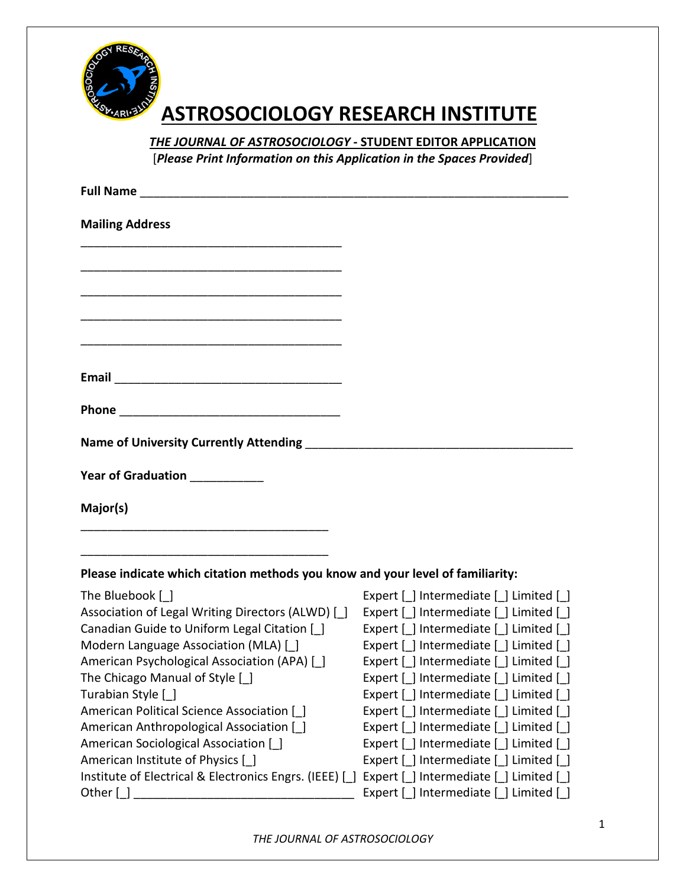

## **ASTROSOCIOLOGY RESEARCH INSTITUTE**

*THE JOURNAL OF ASTROSOCIOLOGY* **- STUDENT EDITOR APPLICATION** 

[*Please Print Information on this Application in the Spaces Provided*]

| <b>Full Name</b>                                                                                                              |                                         |
|-------------------------------------------------------------------------------------------------------------------------------|-----------------------------------------|
| <b>Mailing Address</b>                                                                                                        |                                         |
|                                                                                                                               |                                         |
|                                                                                                                               |                                         |
| <u> 1980 - Johann Barn, amerikan besteman besteman besteman besteman besteman besteman besteman besteman besteman</u>         |                                         |
| Email<br><u> 2000 - Jan James James James James James James James James James James James James James James James James J</u> |                                         |
|                                                                                                                               |                                         |
| <b>Name of University Currently Attending</b>                                                                                 |                                         |
| Year of Graduation ___________                                                                                                |                                         |
| Major(s)                                                                                                                      |                                         |
| Please indicate which citation methods you know and your level of familiarity:                                                |                                         |
| The Bluebook [ ]                                                                                                              | Expert [ ] Intermediate [ ] Limited [ ] |
| Association of Legal Writing Directors (ALWD) [                                                                               | Expert [ ] Intermediate [ ] Limited [ ] |
| Canadian Guide to Uniform Legal Citation [ ]                                                                                  | Expert [ ] Intermediate [ ] Limited [ ] |
| Modern Language Association (MLA) [                                                                                           | Expert [ ] Intermediate [ ] Limited [ ] |
| American Psychological Association (APA) [ ]                                                                                  | Expert [ ] Intermediate [ ] Limited [ ] |
| The Chicago Manual of Style [ ]                                                                                               | Expert [ ] Intermediate [ ] Limited [ ] |
| Turabian Style [_]                                                                                                            | Expert [ ] Intermediate [ ] Limited [ ] |
| American Political Science Association [1]                                                                                    | Expert [ ] Intermediate [ ] Limited [ ] |
| American Anthropological Association [ ]                                                                                      | Expert [ ] Intermediate [ ] Limited [ ] |
| American Sociological Association [                                                                                           | Expert [ ] Intermediate [ ] Limited [ ] |
| American Institute of Physics [ ]                                                                                             | Expert [ ] Intermediate [ ] Limited [ ] |
| Institute of Electrical & Electronics Engrs. (IEEE) []                                                                        | Expert [ ] Intermediate [ ] Limited [ ] |
| Other [ ]                                                                                                                     | Expert [_] Intermediate [_] Limited [_] |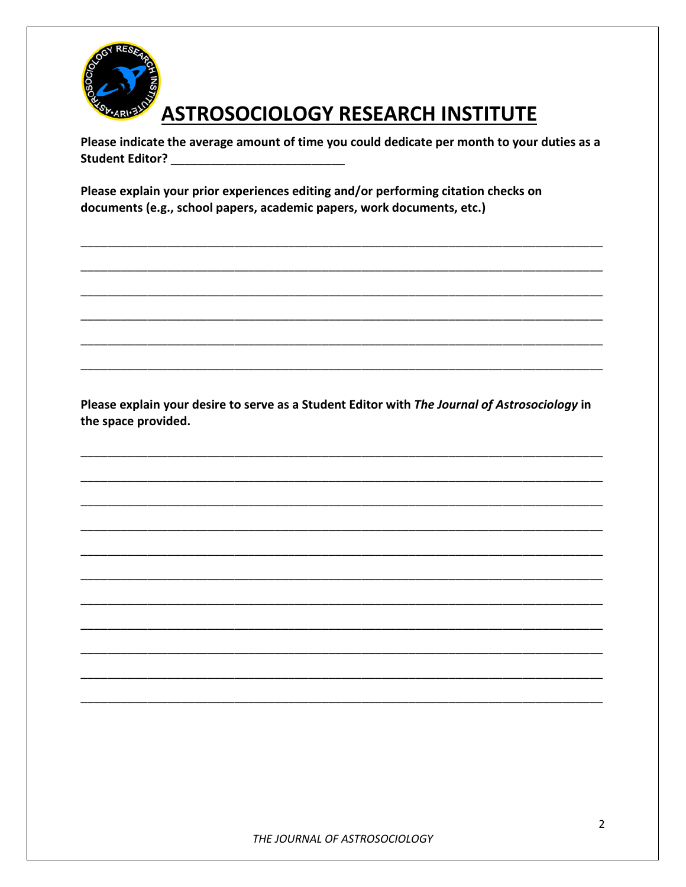

## **ASTROSOCIOLOGY RESEARCH INSTITUTE**

Please indicate the average amount of time you could dedicate per month to your duties as a **Student Editor?** And Allen Controller

Please explain your prior experiences editing and/or performing citation checks on documents (e.g., school papers, academic papers, work documents, etc.)

Please explain your desire to serve as a Student Editor with The Journal of Astrosociology in the space provided.